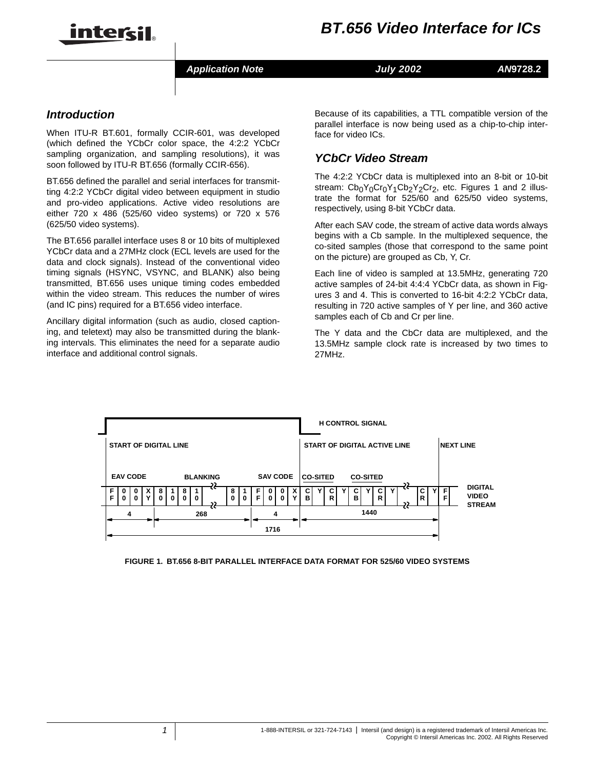

Application Note **Analyzis Contract ANA** July 2002 **AN9728.2** 

## *Introduction*

When ITU-R BT.601, formally CCIR-601, was developed (which defined the YCbCr color space, the 4:2:2 YCbCr sampling organization, and sampling resolutions), it was soon followed by ITU-R BT.656 (formally CCIR-656).

BT.656 defined the parallel and serial interfaces for transmitting 4:2:2 YCbCr digital video between equipment in studio and pro-video applications. Active video resolutions are either 720 x 486 (525/60 video systems) or 720 x 576 (625/50 video systems).

The BT.656 parallel interface uses 8 or 10 bits of multiplexed YCbCr data and a 27MHz clock (ECL levels are used for the data and clock signals). Instead of the conventional video timing signals (HSYNC, VSYNC, and BLANK) also being transmitted, BT.656 uses unique timing codes embedded within the video stream. This reduces the number of wires (and IC pins) required for a BT.656 video interface.

Ancillary digital information (such as audio, closed captioning, and teletext) may also be transmitted during the blanking intervals. This eliminates the need for a separate audio interface and additional control signals.

Because of its capabilities, a TTL compatible version of the parallel interface is now being used as a chip-to-chip interface for video ICs.

# *YCbCrVideoStream*

The 4:2:2 YCbCr data is multiplexed into an 8-bit or 10-bit stream:  $Cb_0Y_0Cr_0Y_1Cb_2Y_2Cr_2$ , etc. Figures 1 and 2 illustrate the format for 525/60 and 625/50 video systems, respectively, using 8-bit YCbCr data.

After each SAV code, the stream of active data words always begins with a Cb sample. In the multiplexed sequence, the co-sited samples (those that correspond to the same point on the picture) are grouped as Cb, Y, Cr.

Each line of video is sampled at 13.5MHz, generating 720 active samples of 24-bit 4:4:4 YCbCr data, as shown in Figures 3 and 4. This is converted to 16-bit 4:2:2 YCbCr data, resulting in 720 active samples of Y per line, and 360 active samples each of Cb and Cr per line.

The Y data and the CbCr data are multiplexed, and the 13.5MHz sample clock rate is increased by two times to 27MHz.



FIGURE 1. BT.656 8-BIT PARALLEL INTERFACE DATA FORMAT FOR 525/60 VIDEO SYSTEMS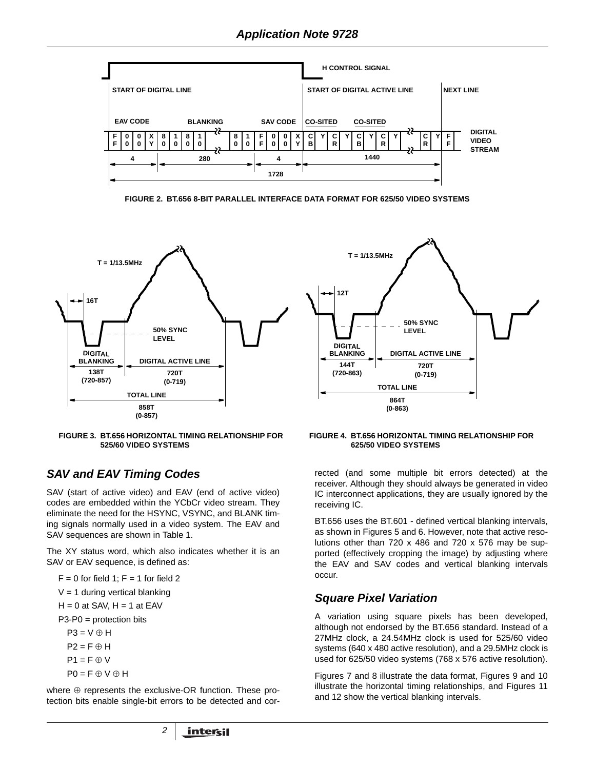

FIGURE 2. BT.656 8-BIT PARALLEL INTERFACE DATA FORMAT FOR 625/50 VIDEO SYSTEMS



FIGURE 3. BT.656 HORIZONTAL TIMING RELATIONSHIP FOR 525/60 VIDEO SYSTEMS

## **SAV and EAV Timing Codes**

SAV (start of active video) and EAV (end of active video) codes are embedded within the YCbCr video stream. They eliminate the need for the HSYNC, VSYNC, and BLANK timing signals normally used in a video system. The EAV and SAV sequences are shown in Table 1.

The XY status word, which also indicates whether it is an SAV or EAV sequence, is defined as:

 $F = 0$  for field 1;  $F = 1$  for field 2  $V = 1$  during vertical blanking  $H = 0$  at SAV,  $H = 1$  at EAV  $P3-P0 =$  protection bits  $P3 = V \oplus H$  $P2 = F \oplus H$  $P1 = F \oplus V$  $PO = F \oplus V \oplus H$ 

where  $\oplus$  represents the exclusive-OR function. These protection bits enable single-bit errors to be detected and cor-

FIGURE 4. BT.656 HORIZONTAL TIMING RELATIONSHIP FOR 625/50 VIDEO SYSTEMS

rected (and some multiple bit errors detected) at the receiver. Although they should always be generated in video IC interconnect applications, they are usually ignored by the receiving IC.

BT.656 uses the BT.601 - defined vertical blanking intervals, as shown in Figures 5 and 6. However, note that active resolutions other than 720 x 486 and 720 x 576 may be supported (effectively cropping the image) by adjusting where the EAV and SAV codes and vertical blanking intervals occur.

## **Square Pixel Variation**

A variation using square pixels has been developed, although not endorsed by the BT.656 standard. Instead of a 27MHz clock, a 24.54MHz clock is used for 525/60 video systems (640 x 480 active resolution), and a 29.5MHz clock is used for 625/50 video systems (768 x 576 active resolution).

Figures 7 and 8 illustrate the data format, Figures 9 and 10 illustrate the horizontal timing relationships, and Figures 11 and 12 show the vertical blanking intervals.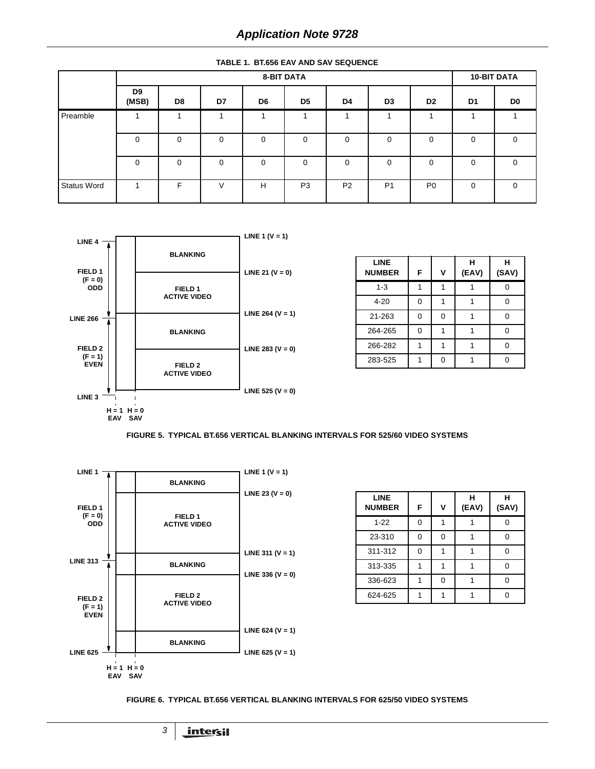|  |  |  |  |  | <b>TABLE 1. BT.656 EAV AND SAV SEQUENCE</b> |
|--|--|--|--|--|---------------------------------------------|
|--|--|--|--|--|---------------------------------------------|

|                    |                         | <b>10-BIT DATA</b> |          |    |                |                |                |                |                |             |
|--------------------|-------------------------|--------------------|----------|----|----------------|----------------|----------------|----------------|----------------|-------------|
|                    | D <sub>9</sub><br>(MSB) | D8                 | D7       | D6 | D <sub>5</sub> | D4             | D3             | D <sub>2</sub> | D <sub>1</sub> | D0          |
| Preamble           |                         |                    | ٠        |    |                |                | и              |                |                |             |
|                    | 0                       | 0                  | 0        | 0  | 0              | 0              | $\Omega$       | 0              | 0              | $\mathbf 0$ |
|                    | $\Omega$                | $\Omega$           | $\Omega$ | 0  | $\Omega$       | $\Omega$       | $\Omega$       | 0              | $\Omega$       | $\Omega$    |
| <b>Status Word</b> |                         | F                  | V        | H  | P <sub>3</sub> | P <sub>2</sub> | P <sub>1</sub> | P <sub>0</sub> | 0              | 0           |



| <b>LINE</b><br><b>NUMBER</b> | F | v | н<br>(EAV) | н<br>(SAV) |
|------------------------------|---|---|------------|------------|
| $1 - 3$                      |   |   |            |            |
| $4 - 20$                     | 0 |   |            |            |
| 21-263                       | 0 | 0 |            |            |
| 264-265                      | ი |   |            |            |
| 266-282                      |   |   |            |            |
| 283-525                      |   | 0 |            |            |

FIGURE 5. TYPICAL BT.656 VERTICAL BLANKING INTERVALS FOR 525/60 VIDEO SYSTEMS



| <b>LINE</b><br><b>NUMBER</b> | F | v | н<br>(EAV) | н<br>(SAV) |
|------------------------------|---|---|------------|------------|
| $1 - 22$                     | ი |   |            |            |
| 23-310                       | ი | 0 |            |            |
| 311-312                      | 0 |   |            |            |
| 313-335                      |   |   |            |            |
| 336-623                      |   | 0 |            |            |
| 624-625                      |   |   |            |            |

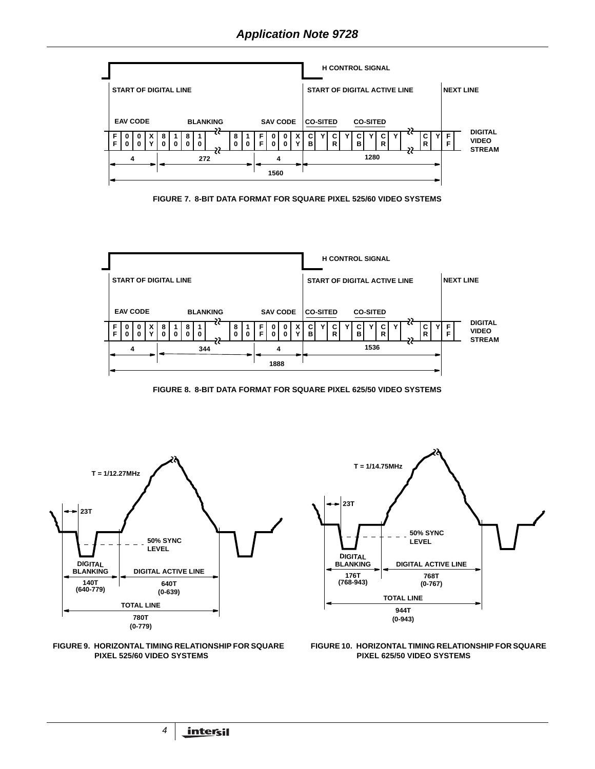

FIGURE 7. 8-BIT DATA FORMAT FOR SQUARE PIXEL 525/60 VIDEO SYSTEMS



FIGURE 8. 8-BIT DATA FORMAT FOR SQUARE PIXEL 625/50 VIDEO SYSTEMS







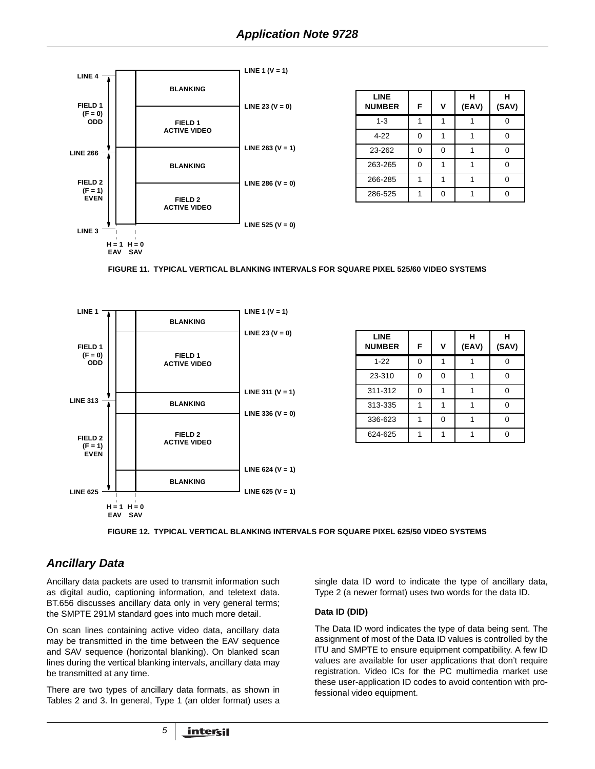

| <b>LINE</b><br><b>NUMBER</b> | F | V | н<br>(EAV) | н<br>(SAV) |
|------------------------------|---|---|------------|------------|
| $1 - 3$                      |   |   |            |            |
| $4 - 22$                     | ი |   |            |            |
| 23-262                       | 0 | 0 |            |            |
| 263-265                      | 0 |   |            |            |
| 266-285                      |   |   |            |            |
| 286-525                      |   |   |            |            |

FIGURE 11. TYPICAL VERTICAL BLANKING INTERVALS FOR SQUARE PIXEL 525/60 VIDEO SYSTEMS



| <b>LINE</b><br><b>NUMBER</b> | F | ν | н<br>(EAV) | н<br>(SAV) |
|------------------------------|---|---|------------|------------|
| $1 - 22$                     | ŋ |   |            |            |
| 23-310                       |   | U |            |            |
| 311-312                      | ∩ |   |            |            |
| 313-335                      |   |   |            |            |
| 336-623                      |   | U |            |            |
| 624-625                      |   |   |            |            |



## **Ancillary Data**

Ancillary data packets are used to transmit information such as digital audio, captioning information, and teletext data. BT.656 discusses ancillary data only in very general terms; the SMPTE 291M standard goes into much more detail.

On scan lines containing active video data, ancillary data may be transmitted in the time between the EAV sequence and SAV sequence (horizontal blanking). On blanked scan lines during the vertical blanking intervals, ancillary data may be transmitted at any time.

There are two types of ancillary data formats, as shown in Tables 2 and 3. In general, Type 1 (an older format) uses a single data ID word to indicate the type of ancillary data, Type 2 (a newer format) uses two words for the data ID.

#### Data ID (DID)

The Data ID word indicates the type of data being sent. The assignment of most of the Data ID values is controlled by the ITU and SMPTE to ensure equipment compatibility. A few ID values are available for user applications that don't require registration. Video ICs for the PC multimedia market use these user-application ID codes to avoid contention with professional video equipment.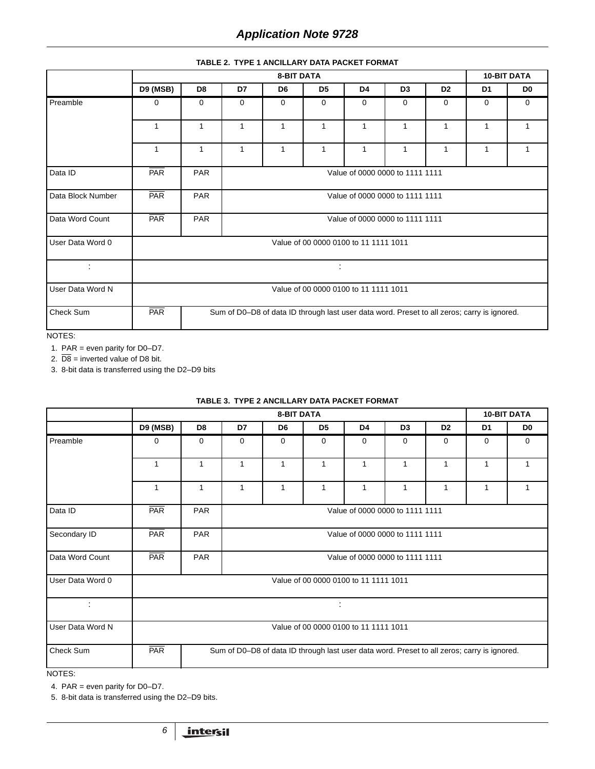#### **TABLE 2. TYPE 1 ANCILLARY DATA PACKET FORMAT**

|                   | <b>8-BIT DATA</b> |                |                                 |                |                                                                                             |                |                                 |                |             | <b>10-BIT DATA</b> |
|-------------------|-------------------|----------------|---------------------------------|----------------|---------------------------------------------------------------------------------------------|----------------|---------------------------------|----------------|-------------|--------------------|
|                   | <b>D9 (MSB)</b>   | D <sub>8</sub> | D7                              | D <sub>6</sub> | D <sub>5</sub>                                                                              | D <sub>4</sub> | D <sub>3</sub>                  | D <sub>2</sub> | D1          | D <sub>0</sub>     |
| Preamble          | 0                 | 0              | 0                               | $\mathbf 0$    | $\mathbf 0$                                                                                 | 0              | 0                               | 0              | $\mathbf 0$ | $\mathbf 0$        |
|                   | 1                 | 1              | 1                               | 1              | 1                                                                                           | 1              | 1                               | 1              | 1           | 1                  |
|                   | 1                 | 1              | 1                               | 1              | 1                                                                                           | 1              | $\mathbf{1}$                    | 1              | 1           | $\mathbf{1}$       |
| Data ID           | PAR               | PAR            | Value of 0000 0000 to 1111 1111 |                |                                                                                             |                |                                 |                |             |                    |
| Data Block Number | PAR               | PAR            | Value of 0000 0000 to 1111 1111 |                |                                                                                             |                |                                 |                |             |                    |
| Data Word Count   | <b>PAR</b>        | PAR            |                                 |                |                                                                                             |                | Value of 0000 0000 to 1111 1111 |                |             |                    |
| User Data Word 0  |                   |                |                                 |                | Value of 00 0000 0100 to 11 1111 1011                                                       |                |                                 |                |             |                    |
| ÷                 |                   | ÷              |                                 |                |                                                                                             |                |                                 |                |             |                    |
| User Data Word N  |                   |                |                                 |                | Value of 00 0000 0100 to 11 1111 1011                                                       |                |                                 |                |             |                    |
| Check Sum         | PAR               |                |                                 |                | Sum of D0-D8 of data ID through last user data word. Preset to all zeros; carry is ignored. |                |                                 |                |             |                    |

NOTES:

1. PAR = even parity for  $D0-D7$ .

2.  $\overline{D8}$  = inverted value of D8 bit.

3. 8-bit data is transferred using the D2–D9 bits

|                  |                 |                |                                 | <b>8-BIT DATA</b>                                                                           |                                       |                |                |                |             | <b>10-BIT DATA</b> |  |
|------------------|-----------------|----------------|---------------------------------|---------------------------------------------------------------------------------------------|---------------------------------------|----------------|----------------|----------------|-------------|--------------------|--|
|                  | <b>D9 (MSB)</b> | D <sub>8</sub> | D7                              | D6                                                                                          | D <sub>5</sub>                        | D <sub>4</sub> | D <sub>3</sub> | D <sub>2</sub> | D1          | D <sub>0</sub>     |  |
| Preamble         | 0               | $\Omega$       | 0                               | 0                                                                                           | $\mathbf 0$                           | $\mathbf 0$    | 0              | 0              | $\mathbf 0$ | 0                  |  |
|                  | $\mathbf{1}$    | 1              | $\mathbf{1}$                    | 1                                                                                           | 1                                     | 1              | 1              | $\mathbf{1}$   | 1           | 1                  |  |
|                  | 1               | 1              | 1                               | 1                                                                                           | $\mathbf{1}$                          | 1              | 1              | $\mathbf{1}$   | 1           | 1                  |  |
| Data ID          | PAR             | <b>PAR</b>     | Value of 0000 0000 to 1111 1111 |                                                                                             |                                       |                |                |                |             |                    |  |
| Secondary ID     | <b>PAR</b>      | PAR            |                                 | Value of 0000 0000 to 1111 1111                                                             |                                       |                |                |                |             |                    |  |
| Data Word Count  | <b>PAR</b>      | PAR            |                                 | Value of 0000 0000 to 1111 1111                                                             |                                       |                |                |                |             |                    |  |
| User Data Word 0 |                 |                |                                 |                                                                                             | Value of 00 0000 0100 to 11 1111 1011 |                |                |                |             |                    |  |
| ÷                |                 |                |                                 |                                                                                             | ÷                                     |                |                |                |             |                    |  |
| User Data Word N |                 |                |                                 |                                                                                             | Value of 00 0000 0100 to 11 1111 1011 |                |                |                |             |                    |  |
| Check Sum        | PAR             |                |                                 | Sum of D0-D8 of data ID through last user data word. Preset to all zeros; carry is ignored. |                                       |                |                |                |             |                    |  |
|                  |                 |                |                                 |                                                                                             |                                       |                |                |                |             |                    |  |

**TABLE 3. TYPE 2 ANCILLARY DATA PACKET FORMAT** 

NOTES:

4. PAR = even parity for D0–D7.

5. 8-bit data is transferred using the D2-D9 bits.